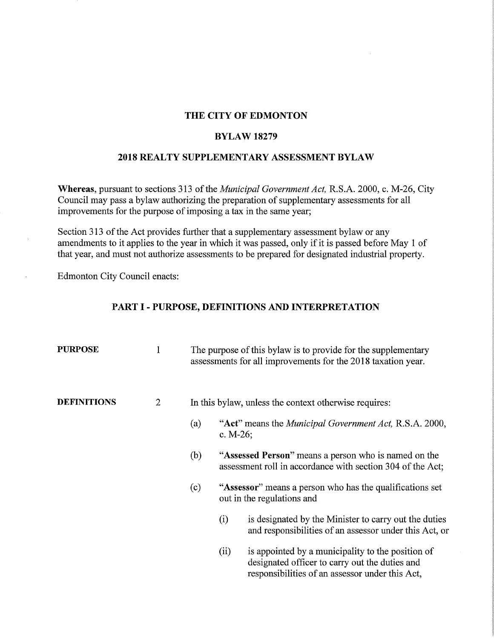## **THE CITY OF EDMONTON**

#### **BYLAW18279**

# **2018 REAL TY SUPPLEMENTARY ASSESSMENT BYLAW**

**Whereas,** pursuant to sections 313 of the *Municipal Government Act,* R.S.A. 2000, c. M-26, City Council may pass a bylaw authorizing the preparation of supplementary assessments for all improvements for the purpose of imposing a tax in the same year;

Section 313 of the Act provides further that a supplementary assessment bylaw or any amendments to it applies to the year in which it was passed, only if it is passed before May 1 of that year, and must not authorize assessments to be prepared for designated industrial property.

Edmonton City Council enacts:

## **PART** I - **PURPOSE, DEFINITIONS AND INTERPRETATION**

| <b>PURPOSE</b>     | 1              |     | The purpose of this bylaw is to provide for the supplementary<br>assessments for all improvements for the 2018 taxation year. |                                                                                                                                                        |  |  |
|--------------------|----------------|-----|-------------------------------------------------------------------------------------------------------------------------------|--------------------------------------------------------------------------------------------------------------------------------------------------------|--|--|
| <b>DEFINITIONS</b> | $\overline{2}$ |     |                                                                                                                               | In this bylaw, unless the context otherwise requires:                                                                                                  |  |  |
|                    |                | (a) | "Act" means the <i>Municipal Government Act</i> , R.S.A. 2000,<br>c. $M-26$ ;                                                 |                                                                                                                                                        |  |  |
|                    |                | (b) |                                                                                                                               | "Assessed Person" means a person who is named on the<br>assessment roll in accordance with section 304 of the Act;                                     |  |  |
|                    |                | (c) |                                                                                                                               | "Assessor" means a person who has the qualifications set<br>out in the regulations and                                                                 |  |  |
|                    |                |     | (i)                                                                                                                           | is designated by the Minister to carry out the duties<br>and responsibilities of an assessor under this Act, or                                        |  |  |
|                    |                |     | (ii)                                                                                                                          | is appointed by a municipality to the position of<br>designated officer to carry out the duties and<br>responsibilities of an assessor under this Act, |  |  |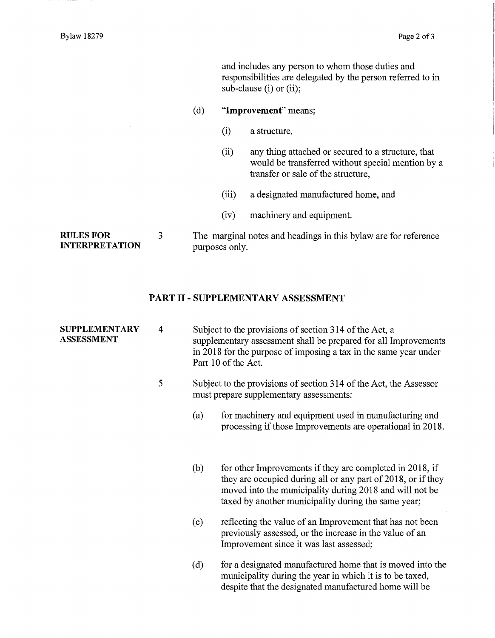and includes any person to whom those duties and responsibilities are delegated by the person referred to in sub-clause (i) or (ii);

#### ( d) **"Improvement"** means;

- (i) a structure,
- (ii) any thing attached or secured to a structure, that would be transferred without special mention by a transfer or sale of the structure,
- (iii) a designated manufactured home, and
- (iv) machinery and equipment.

**RULES FOR INTERPRETATION**  3

The marginal notes and headings in this bylaw are for reference purposes only.

## **PART** II - **SUPPLEMENTARY ASSESSMENT**

| <b>SUPPLEMENTARY</b><br><b>ASSESSMENT</b> | $\overline{4}$ |                                                                                                              | Subject to the provisions of section 314 of the Act, a<br>supplementary assessment shall be prepared for all Improvements<br>in 2018 for the purpose of imposing a tax in the same year under<br>Part 10 of the Act.                       |  |
|-------------------------------------------|----------------|--------------------------------------------------------------------------------------------------------------|--------------------------------------------------------------------------------------------------------------------------------------------------------------------------------------------------------------------------------------------|--|
|                                           | 5              | Subject to the provisions of section 314 of the Act, the Assessor<br>must prepare supplementary assessments: |                                                                                                                                                                                                                                            |  |
|                                           |                | (a)                                                                                                          | for machinery and equipment used in manufacturing and<br>processing if those Improvements are operational in 2018.                                                                                                                         |  |
|                                           |                | (b)                                                                                                          | for other Improvements if they are completed in 2018, if<br>they are occupied during all or any part of 2018, or if they<br>moved into the municipality during 2018 and will not be<br>taxed by another municipality during the same year; |  |
|                                           |                | (c)                                                                                                          | reflecting the value of an Improvement that has not been<br>previously assessed, or the increase in the value of an<br>Improvement since it was last assessed;                                                                             |  |
|                                           |                | (d)                                                                                                          | for a designated manufactured home that is moved into the<br>municipality during the year in which it is to be taxed,<br>despite that the designated manufactured home will be                                                             |  |